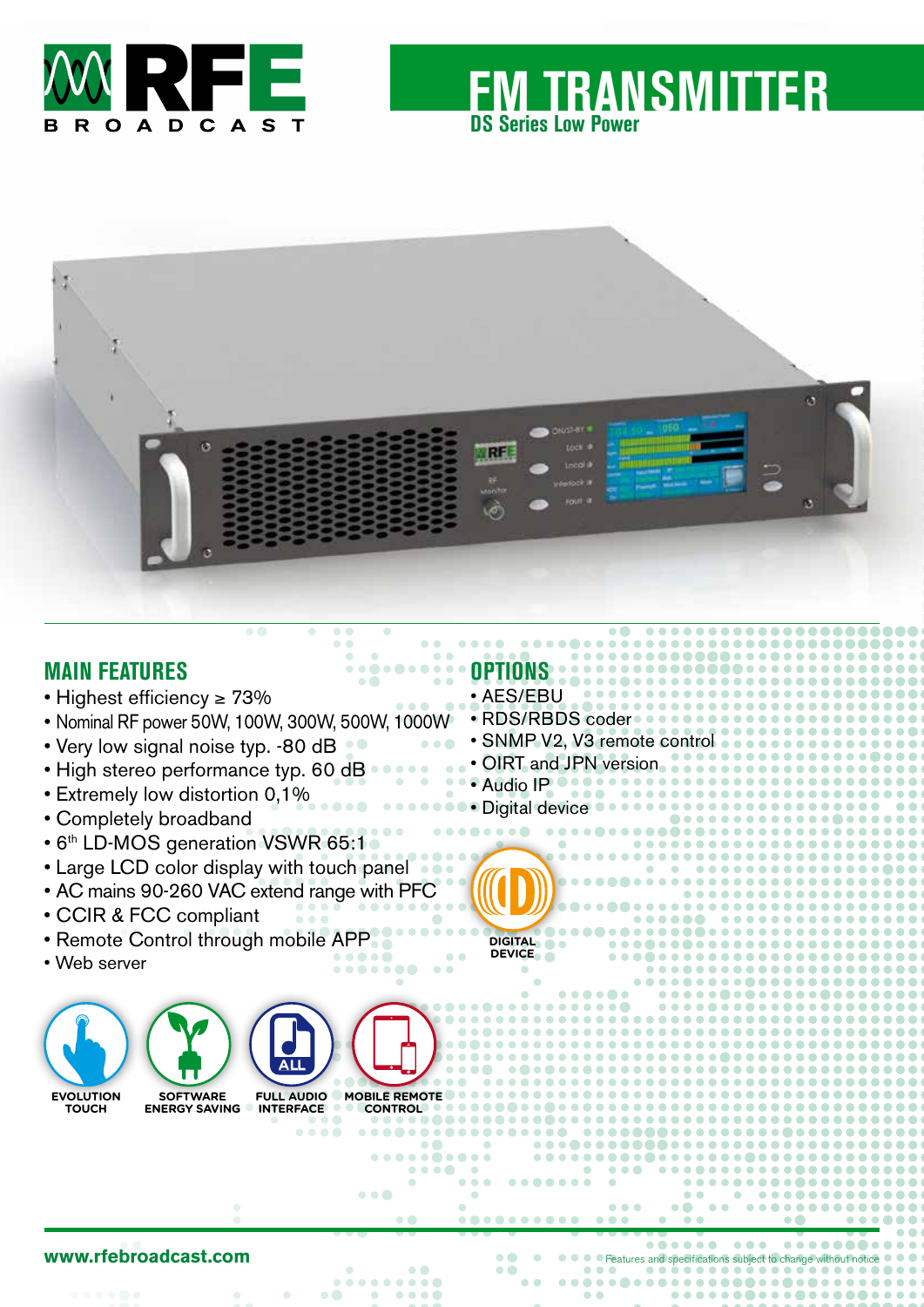



# **MAIN FEATURES**

- Highest efficiency ≥ 73%
- Nominal RF power 50W, 100W, 300W, 500W, 1000W
- Very low signal noise typ. -80 dB
- High stereo performance typ. 60 dB
- Extremely low distortion 0,1%
- Completely broadband
- 6<sup>th</sup> LD-MOS generation VSWR 65:1
- Large LCD color display with touch panel
- AC mains 90-260 VAC extend range with PFC
- CCIR & FCC compliant
- Remote Control through mobile APP
- Web server



**www.rfebroadcast.com** Features and specifications subject to change

## **OPTIONS** • AES/EBU

**DS Series Low Power**

**FM TRANSMITTER**

- RDS/RBDS coder • SNMP V2, V3 remote control • OIRT and JPN version • Audio IP
- Digital device

**DIGITAL DEVICE**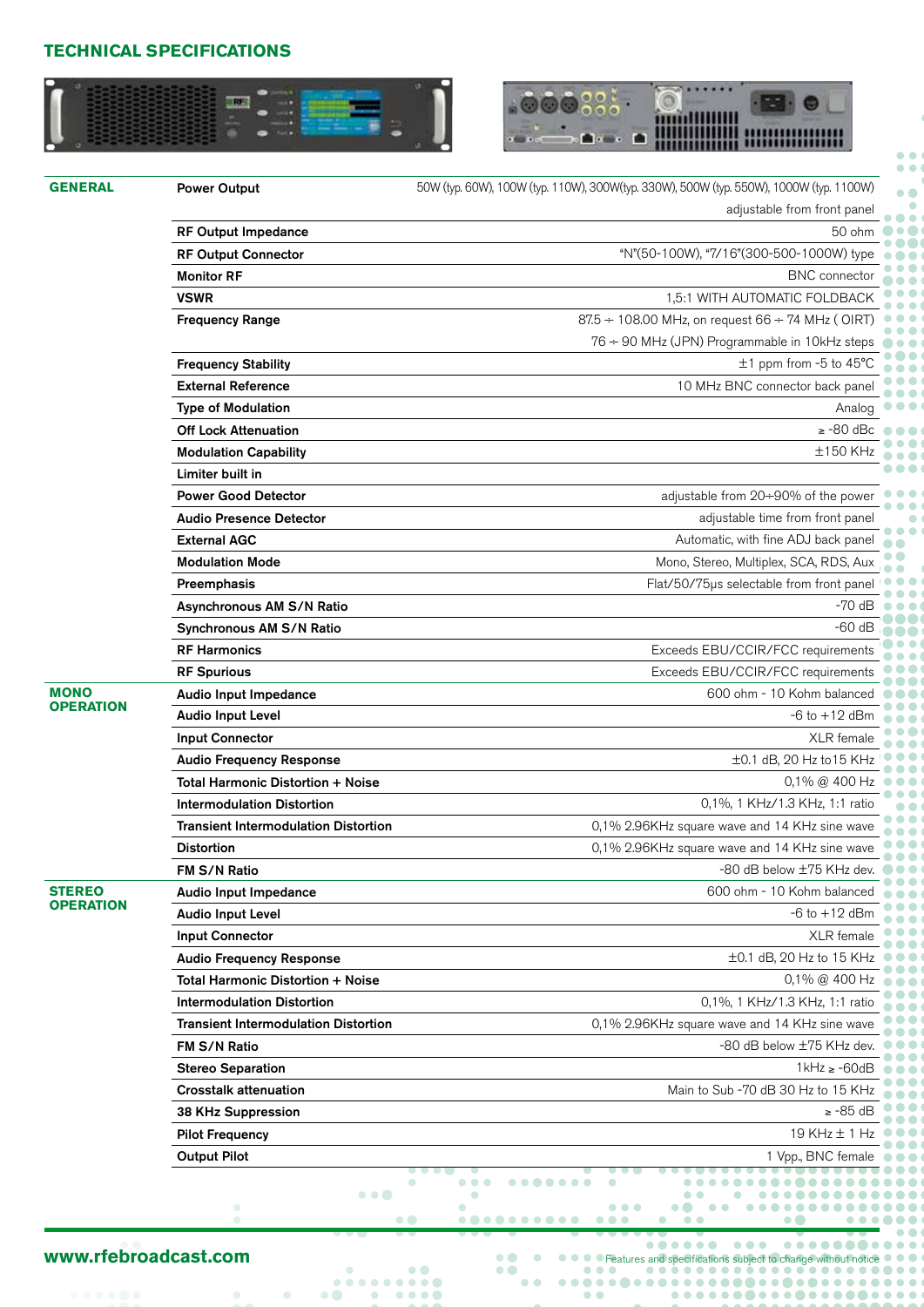#### **TECHNICAL SPECIFICATIONS**





 $\bullet$   $\bullet$  $\bullet$   $\bullet$  $\bullet$ **TO** 

| <b>RF Output Impedance</b><br><b>RF Output Connector</b><br><b>Monitor RF</b><br><b>Frequency Range</b><br><b>Frequency Stability</b><br><b>External Reference</b><br><b>Type of Modulation</b><br><b>Off Lock Attenuation</b><br><b>Modulation Capability</b><br>Limiter built in<br><b>Power Good Detector</b><br><b>Audio Presence Detector</b><br><b>External AGC</b><br><b>Modulation Mode</b><br>Preemphasis<br>Asynchronous AM S/N Ratio<br><b>Synchronous AM S/N Ratio</b> | adjustable from front panel<br>50 ohm<br>"N"(50-100W), "7/16"(300-500-1000W) type<br><b>BNC</b> connector<br>1,5:1 WITH AUTOMATIC FOLDBACK<br>87.5 ÷ 108.00 MHz, on request 66 ÷ 74 MHz (OIRT)<br>76 ÷ 90 MHz (JPN) Programmable in 10kHz steps<br>±1 ppm from -5 to 45°C<br>10 MHz BNC connector back panel<br>Analog<br>$\ge$ -80 dBc<br>±150 KHz<br>adjustable from 20÷90% of the power<br>adjustable time from front panel<br>Automatic, with fine ADJ back panel<br>Mono, Stereo, Multiplex, SCA, RDS, Aux<br>Flat/50/75µs selectable from front pane |
|------------------------------------------------------------------------------------------------------------------------------------------------------------------------------------------------------------------------------------------------------------------------------------------------------------------------------------------------------------------------------------------------------------------------------------------------------------------------------------|------------------------------------------------------------------------------------------------------------------------------------------------------------------------------------------------------------------------------------------------------------------------------------------------------------------------------------------------------------------------------------------------------------------------------------------------------------------------------------------------------------------------------------------------------------|
|                                                                                                                                                                                                                                                                                                                                                                                                                                                                                    |                                                                                                                                                                                                                                                                                                                                                                                                                                                                                                                                                            |
|                                                                                                                                                                                                                                                                                                                                                                                                                                                                                    |                                                                                                                                                                                                                                                                                                                                                                                                                                                                                                                                                            |
|                                                                                                                                                                                                                                                                                                                                                                                                                                                                                    |                                                                                                                                                                                                                                                                                                                                                                                                                                                                                                                                                            |
|                                                                                                                                                                                                                                                                                                                                                                                                                                                                                    |                                                                                                                                                                                                                                                                                                                                                                                                                                                                                                                                                            |
|                                                                                                                                                                                                                                                                                                                                                                                                                                                                                    |                                                                                                                                                                                                                                                                                                                                                                                                                                                                                                                                                            |
|                                                                                                                                                                                                                                                                                                                                                                                                                                                                                    |                                                                                                                                                                                                                                                                                                                                                                                                                                                                                                                                                            |
|                                                                                                                                                                                                                                                                                                                                                                                                                                                                                    |                                                                                                                                                                                                                                                                                                                                                                                                                                                                                                                                                            |
|                                                                                                                                                                                                                                                                                                                                                                                                                                                                                    |                                                                                                                                                                                                                                                                                                                                                                                                                                                                                                                                                            |
|                                                                                                                                                                                                                                                                                                                                                                                                                                                                                    |                                                                                                                                                                                                                                                                                                                                                                                                                                                                                                                                                            |
|                                                                                                                                                                                                                                                                                                                                                                                                                                                                                    |                                                                                                                                                                                                                                                                                                                                                                                                                                                                                                                                                            |
|                                                                                                                                                                                                                                                                                                                                                                                                                                                                                    |                                                                                                                                                                                                                                                                                                                                                                                                                                                                                                                                                            |
|                                                                                                                                                                                                                                                                                                                                                                                                                                                                                    |                                                                                                                                                                                                                                                                                                                                                                                                                                                                                                                                                            |
|                                                                                                                                                                                                                                                                                                                                                                                                                                                                                    |                                                                                                                                                                                                                                                                                                                                                                                                                                                                                                                                                            |
|                                                                                                                                                                                                                                                                                                                                                                                                                                                                                    |                                                                                                                                                                                                                                                                                                                                                                                                                                                                                                                                                            |
|                                                                                                                                                                                                                                                                                                                                                                                                                                                                                    |                                                                                                                                                                                                                                                                                                                                                                                                                                                                                                                                                            |
|                                                                                                                                                                                                                                                                                                                                                                                                                                                                                    |                                                                                                                                                                                                                                                                                                                                                                                                                                                                                                                                                            |
|                                                                                                                                                                                                                                                                                                                                                                                                                                                                                    |                                                                                                                                                                                                                                                                                                                                                                                                                                                                                                                                                            |
|                                                                                                                                                                                                                                                                                                                                                                                                                                                                                    |                                                                                                                                                                                                                                                                                                                                                                                                                                                                                                                                                            |
|                                                                                                                                                                                                                                                                                                                                                                                                                                                                                    | -70 d                                                                                                                                                                                                                                                                                                                                                                                                                                                                                                                                                      |
|                                                                                                                                                                                                                                                                                                                                                                                                                                                                                    | -60 dE                                                                                                                                                                                                                                                                                                                                                                                                                                                                                                                                                     |
| <b>RF Harmonics</b>                                                                                                                                                                                                                                                                                                                                                                                                                                                                | Exceeds EBU/CCIR/FCC requirements                                                                                                                                                                                                                                                                                                                                                                                                                                                                                                                          |
| <b>RF Spurious</b>                                                                                                                                                                                                                                                                                                                                                                                                                                                                 | Exceeds EBU/CCIR/FCC requirements                                                                                                                                                                                                                                                                                                                                                                                                                                                                                                                          |
| Audio Input Impedance                                                                                                                                                                                                                                                                                                                                                                                                                                                              | 600 ohm - 10 Kohm balanced                                                                                                                                                                                                                                                                                                                                                                                                                                                                                                                                 |
| <b>Audio Input Level</b>                                                                                                                                                                                                                                                                                                                                                                                                                                                           | $-6$ to $+12$ dBm                                                                                                                                                                                                                                                                                                                                                                                                                                                                                                                                          |
| <b>Input Connector</b>                                                                                                                                                                                                                                                                                                                                                                                                                                                             | XLR female                                                                                                                                                                                                                                                                                                                                                                                                                                                                                                                                                 |
| <b>Audio Frequency Response</b>                                                                                                                                                                                                                                                                                                                                                                                                                                                    | ±0.1 dB, 20 Hz to 15 KH                                                                                                                                                                                                                                                                                                                                                                                                                                                                                                                                    |
| <b>Total Harmonic Distortion + Noise</b>                                                                                                                                                                                                                                                                                                                                                                                                                                           | 0,1% @ 400 Hz                                                                                                                                                                                                                                                                                                                                                                                                                                                                                                                                              |
| <b>Intermodulation Distortion</b>                                                                                                                                                                                                                                                                                                                                                                                                                                                  | 0,1%, 1 KHz/1.3 KHz, 1:1 ratio                                                                                                                                                                                                                                                                                                                                                                                                                                                                                                                             |
| <b>Transient Intermodulation Distortion</b>                                                                                                                                                                                                                                                                                                                                                                                                                                        | 0,1% 2.96KHz square wave and 14 KHz sine wave                                                                                                                                                                                                                                                                                                                                                                                                                                                                                                              |
| <b>Distortion</b>                                                                                                                                                                                                                                                                                                                                                                                                                                                                  | 0,1% 2.96KHz square wave and 14 KHz sine wave                                                                                                                                                                                                                                                                                                                                                                                                                                                                                                              |
| FM S/N Ratio                                                                                                                                                                                                                                                                                                                                                                                                                                                                       | -80 dB below ±75 KHz dev.                                                                                                                                                                                                                                                                                                                                                                                                                                                                                                                                  |
| <b>Audio Input Impedance</b>                                                                                                                                                                                                                                                                                                                                                                                                                                                       | 600 ohm - 10 Kohm balanced                                                                                                                                                                                                                                                                                                                                                                                                                                                                                                                                 |
| <b>Audio Input Level</b>                                                                                                                                                                                                                                                                                                                                                                                                                                                           | $-6$ to $+12$ dBr                                                                                                                                                                                                                                                                                                                                                                                                                                                                                                                                          |
| <b>Input Connector</b>                                                                                                                                                                                                                                                                                                                                                                                                                                                             | <b>XLR</b> female                                                                                                                                                                                                                                                                                                                                                                                                                                                                                                                                          |
| <b>Audio Frequency Response</b>                                                                                                                                                                                                                                                                                                                                                                                                                                                    | ±0.1 dB, 20 Hz to 15 KHz                                                                                                                                                                                                                                                                                                                                                                                                                                                                                                                                   |
| <b>Total Harmonic Distortion + Noise</b>                                                                                                                                                                                                                                                                                                                                                                                                                                           | $0,1\%$ @ 400 Hz                                                                                                                                                                                                                                                                                                                                                                                                                                                                                                                                           |
| <b>Intermodulation Distortion</b>                                                                                                                                                                                                                                                                                                                                                                                                                                                  | 0,1%, 1 KHz/1.3 KHz, 1:1 ratio                                                                                                                                                                                                                                                                                                                                                                                                                                                                                                                             |
| <b>Transient Intermodulation Distortion</b>                                                                                                                                                                                                                                                                                                                                                                                                                                        | 0,1% 2.96KHz square wave and 14 KHz sine wave                                                                                                                                                                                                                                                                                                                                                                                                                                                                                                              |
| FM S/N Ratio                                                                                                                                                                                                                                                                                                                                                                                                                                                                       | -80 dB below ±75 KHz dev                                                                                                                                                                                                                                                                                                                                                                                                                                                                                                                                   |
| <b>Stereo Separation</b>                                                                                                                                                                                                                                                                                                                                                                                                                                                           | 1kHz ≥ -60dB                                                                                                                                                                                                                                                                                                                                                                                                                                                                                                                                               |
| <b>Crosstalk attenuation</b>                                                                                                                                                                                                                                                                                                                                                                                                                                                       | Main to Sub -70 dB 30 Hz to 15 KH                                                                                                                                                                                                                                                                                                                                                                                                                                                                                                                          |
| 38 KHz Suppression                                                                                                                                                                                                                                                                                                                                                                                                                                                                 | ≥ -85 dE                                                                                                                                                                                                                                                                                                                                                                                                                                                                                                                                                   |
|                                                                                                                                                                                                                                                                                                                                                                                                                                                                                    | 19 KHz ± 1 H                                                                                                                                                                                                                                                                                                                                                                                                                                                                                                                                               |
|                                                                                                                                                                                                                                                                                                                                                                                                                                                                                    | 1 Vpp., BNC fem                                                                                                                                                                                                                                                                                                                                                                                                                                                                                                                                            |
|                                                                                                                                                                                                                                                                                                                                                                                                                                                                                    | <b>Pilot Frequency</b><br><b>Output Pilot</b>                                                                                                                                                                                                                                                                                                                                                                                                                                                                                                              |

 $\sim$   $\sim$ 

and the state of the state

 $\bullet\bullet\qquad\bullet\qquad\bullet\bullet\bullet\bullet\bullet$ 

 $\bullet$ 

**www.rfebroadcast.com** 

 $\bullet \bullet$ 

 $\bullet\bullet\bullet\bullet\bullet\bullet$ ₩

 $\bullet$ 

A  $\sim$ 

 $\bullet\bullet\bullet$ 

ä  $\ddot{\bullet}$   $\bullet$ 

 $\bullet\bullet\bullet$ 

 $\bullet$ 

 $\bullet\bullet$